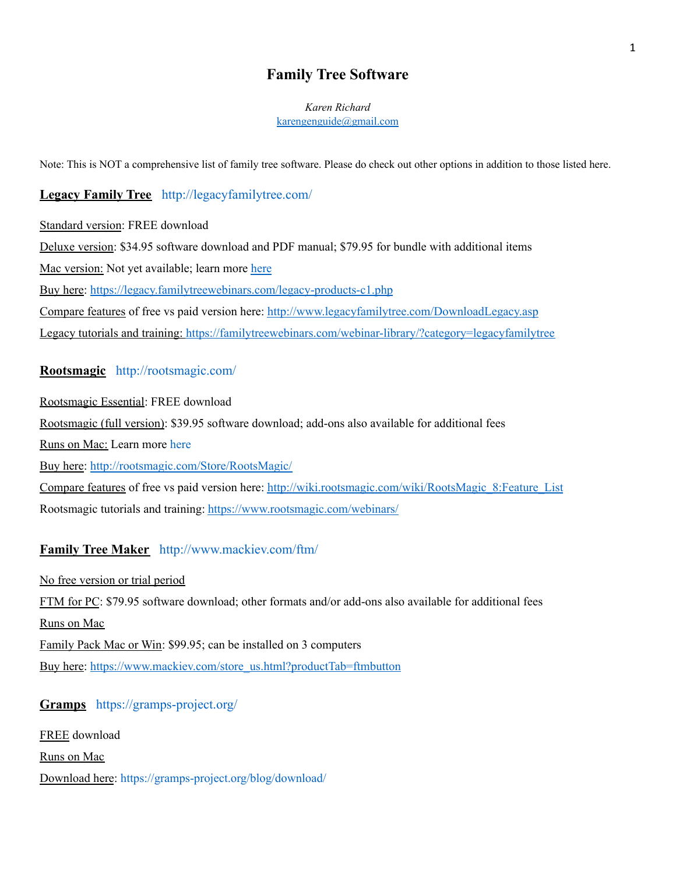# **Family Tree Software**

#### *Karen Richard* [karengenguide@gmail.com](mailto:karengenguide@gmail.com)

Note: This is NOT a comprehensive list of family tree software. Please do check out other options in addition to those listed here.

# **Legacy Family Tree** <http://legacyfamilytree.com/>

Standard version: FREE download Deluxe version: \$34.95 software download and PDF manual; \$79.95 for bundle with additional items Mac version: Not yet available; learn more [here](http://support.legacyfamilytree.com/article/AA-00417) Buy here: <https://legacy.familytreewebinars.com/legacy-products-c1.php> Compare features of free vs paid version here: <http://www.legacyfamilytree.com/DownloadLegacy.asp> Legacy tutorials and training: <https://familytreewebinars.com/webinar-library/?category=legacyfamilytree>

### **Rootsmagic** <http://rootsmagic.com/>

Rootsmagic Essential: FREE download Rootsmagic (full version): \$39.95 software download; add-ons also available for additional fees Runs on Mac: Learn more [here](http://wiki.rootsmagic.com/wiki/RootsMagic_8:Download_and_Install) Buy here: <http://rootsmagic.com/Store/RootsMagic/> Compare features of free vs paid version here: [http://wiki.rootsmagic.com/wiki/RootsMagic\\_8:Feature\\_List](http://wiki.rootsmagic.com/wiki/RootsMagic_8:Feature_List) Rootsmagic tutorials and training: <https://www.rootsmagic.com/webinars/>

## **Family Tree Maker** <http://www.mackiev.com/ftm/>

No free version or trial period FTM for PC: \$79.95 software download; other formats and/or add-ons also available for additional fees Runs on Mac Family Pack Mac or Win: \$99.95; can be installed on 3 computers Buy here: [https://www.mackiev.com/store\\_us.html?productTab=ftmbutton](https://www.mackiev.com/store_us.html?productTab=ftmbutton)

## **Gramps** <https://gramps-project.org/>

FREE download

Runs on Mac

Download here: <https://gramps-project.org/blog/download/>